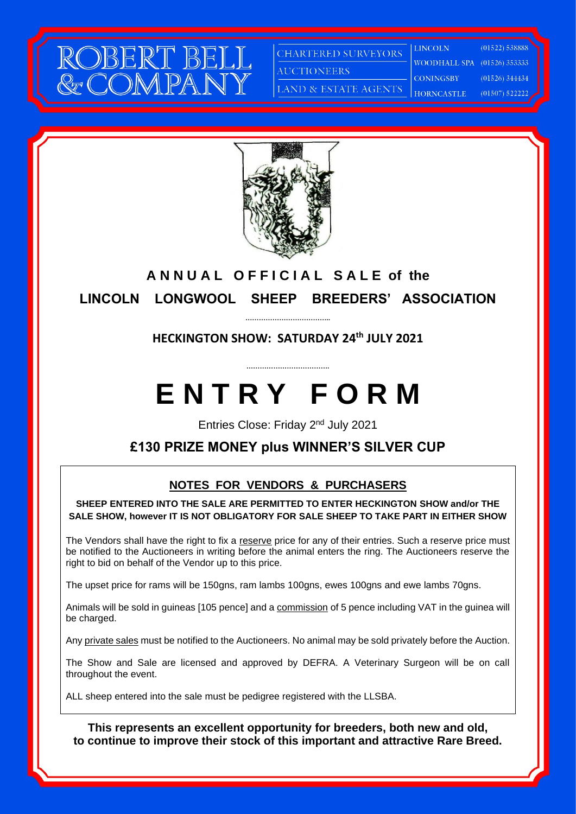

**CHARTERED SURVEYORS AUCTIONEERS** 

LAND & ESTATE AGENTS

**LINCOLN WOODHALL SPA** (01526) 353333 **CONINGSBY** 

 $(01522) 538888$  $(01526)$  344434 HORNCASTLE  $(01507)$  522222



### **ANNUAL OFFICIAL SALE of the LINCOLN LONGWOOL SHEEP BREEDERS' ASSOCIATION**

#### **HECKINGTON SHOW: SATURDAY 24 th JULY 2021**

**……………………………….**

**………………………………..**

## **E N T R Y F O R M**

Entries Close: Friday 2nd July 2021

#### **£130 PRIZE MONEY plus WINNER'S SILVER CUP**

#### **NOTES FOR VENDORS & PURCHASERS**

**SHEEP ENTERED INTO THE SALE ARE PERMITTED TO ENTER HECKINGTON SHOW and/or THE SALE SHOW, however IT IS NOT OBLIGATORY FOR SALE SHEEP TO TAKE PART IN EITHER SHOW**

The Vendors shall have the right to fix a reserve price for any of their entries. Such a reserve price must be notified to the Auctioneers in writing before the animal enters the ring. The Auctioneers reserve the right to bid on behalf of the Vendor up to this price.

The upset price for rams will be 150gns, ram lambs 100gns, ewes 100gns and ewe lambs 70gns.

Animals will be sold in guineas [105 pence] and a commission of 5 pence including VAT in the guinea will be charged.

Any private sales must be notified to the Auctioneers. No animal may be sold privately before the Auction.

The Show and Sale are licensed and approved by DEFRA. A Veterinary Surgeon will be on call throughout the event.

ALL sheep entered into the sale must be pedigree registered with the LLSBA.

**This represents an excellent opportunity for breeders, both new and old, to continue to improve their stock of this important and attractive Rare Breed.**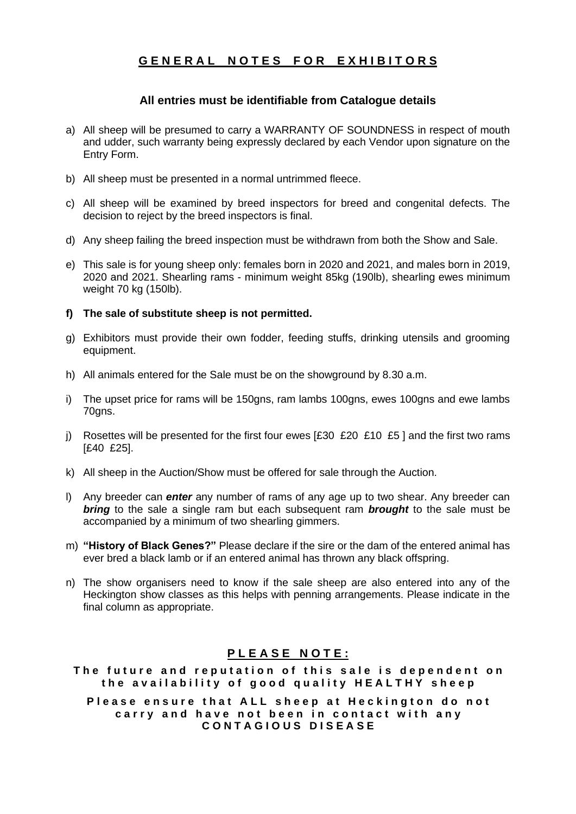#### **G E N E R A L N O T E S F O R E X H I B I T O R S**

#### **All entries must be identifiable from Catalogue details**

- a) All sheep will be presumed to carry a WARRANTY OF SOUNDNESS in respect of mouth and udder, such warranty being expressly declared by each Vendor upon signature on the Entry Form.
- b) All sheep must be presented in a normal untrimmed fleece.
- c) All sheep will be examined by breed inspectors for breed and congenital defects. The decision to reject by the breed inspectors is final.
- d) Any sheep failing the breed inspection must be withdrawn from both the Show and Sale.
- e) This sale is for young sheep only: females born in 2020 and 2021, and males born in 2019, 2020 and 2021. Shearling rams - minimum weight 85kg (190lb), shearling ewes minimum weight 70 kg (150lb).
- **f) The sale of substitute sheep is not permitted.**
- g) Exhibitors must provide their own fodder, feeding stuffs, drinking utensils and grooming equipment.
- h) All animals entered for the Sale must be on the showground by 8.30 a.m.
- i) The upset price for rams will be 150gns, ram lambs 100gns, ewes 100gns and ewe lambs 70gns.
- j) Rosettes will be presented for the first four ewes  $[£30 £20 £10 £5]$  and the first two rams [£40 £25].
- k) All sheep in the Auction/Show must be offered for sale through the Auction.
- l) Any breeder can *enter* any number of rams of any age up to two shear. Any breeder can *bring* to the sale a single ram but each subsequent ram *brought* to the sale must be accompanied by a minimum of two shearling gimmers.
- m) **"History of Black Genes?"** Please declare if the sire or the dam of the entered animal has ever bred a black lamb or if an entered animal has thrown any black offspring.
- n) The show organisers need to know if the sale sheep are also entered into any of the Heckington show classes as this helps with penning arrangements. Please indicate in the final column as appropriate.

#### **P L E A S E N O T E :**

The future and reputation of this sale is dependent on the availability of good quality **HEALTHY** sheep

Please ensure that ALL sheep at Heckington do not carry and have not been in contact with any **C O N T A G I O U S D I S E A S E**